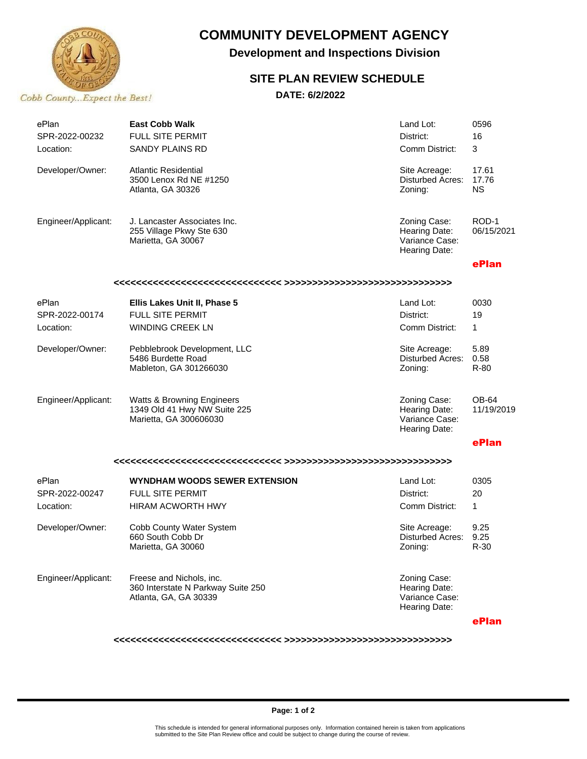

## **COMMUNITY DEVELOPMENT AGENCY**

**Development and Inspections Division**

## **SITE PLAN REVIEW SCHEDULE**

### **DATE: 6/2/2022**

| ePlan<br>SPR-2022-00232 | <b>East Cobb Walk</b><br><b>FULL SITE PERMIT</b>                                                | Land Lot:<br>District:                                           | 0596<br>16                  |
|-------------------------|-------------------------------------------------------------------------------------------------|------------------------------------------------------------------|-----------------------------|
| Location:               | <b>SANDY PLAINS RD</b>                                                                          | Comm District:                                                   | 3                           |
| Developer/Owner:        | Atlantic Residential<br>3500 Lenox Rd NE #1250<br>Atlanta, GA 30326                             | Site Acreage:<br>Disturbed Acres:<br>Zoning:                     | 17.61<br>17.76<br><b>NS</b> |
| Engineer/Applicant:     | J. Lancaster Associates Inc.<br>255 Village Pkwy Ste 630<br>Marietta, GA 30067                  | Zoning Case:<br>Hearing Date:<br>Variance Case:<br>Hearing Date: | ROD-1<br>06/15/2021         |
|                         |                                                                                                 |                                                                  | ePlan                       |
|                         |                                                                                                 |                                                                  |                             |
| ePlan                   | Ellis Lakes Unit II, Phase 5                                                                    | Land Lot:                                                        | 0030                        |
| SPR-2022-00174          | <b>FULL SITE PERMIT</b>                                                                         | District:                                                        | 19                          |
| Location:               | <b>WINDING CREEK LN</b>                                                                         | Comm District:                                                   | 1                           |
| Developer/Owner:        | Pebblebrook Development, LLC<br>5486 Burdette Road<br>Mableton, GA 301266030                    | Site Acreage:<br>Disturbed Acres:<br>Zoning:                     | 5.89<br>0.58<br>$R-80$      |
| Engineer/Applicant:     | <b>Watts &amp; Browning Engineers</b><br>1349 Old 41 Hwy NW Suite 225<br>Marietta, GA 300606030 | Zoning Case:<br>Hearing Date:<br>Variance Case:<br>Hearing Date: | OB-64<br>11/19/2019         |
|                         |                                                                                                 |                                                                  | ePlan                       |
|                         |                                                                                                 |                                                                  |                             |
| ePlan                   | WYNDHAM WOODS SEWER EXTENSION                                                                   | Land Lot:                                                        | 0305                        |
| SPR-2022-00247          | <b>FULL SITE PERMIT</b>                                                                         | District:                                                        | 20                          |
| Location:               | <b>HIRAM ACWORTH HWY</b>                                                                        | Comm District:                                                   | 1                           |
| Developer/Owner:        | Cobb County Water System<br>660 South Cobb Dr<br>Marietta, GA 30060                             | Site Acreage:<br>Disturbed Acres:<br>Zoning:                     | 9.25<br>9.25<br>R-30        |
| Engineer/Applicant:     | Freese and Nichols, inc.<br>360 Interstate N Parkway Suite 250<br>Atlanta, GA, GA 30339         | Zoning Case:<br>Hearing Date:<br>Variance Case:<br>Hearing Date: |                             |
|                         |                                                                                                 |                                                                  | ePlan                       |

**<<<<<<<<<<<<<<<<<<<<<<<<<<<<<< >>>>>>>>>>>>>>>>>>>>>>>>>>>>>>**